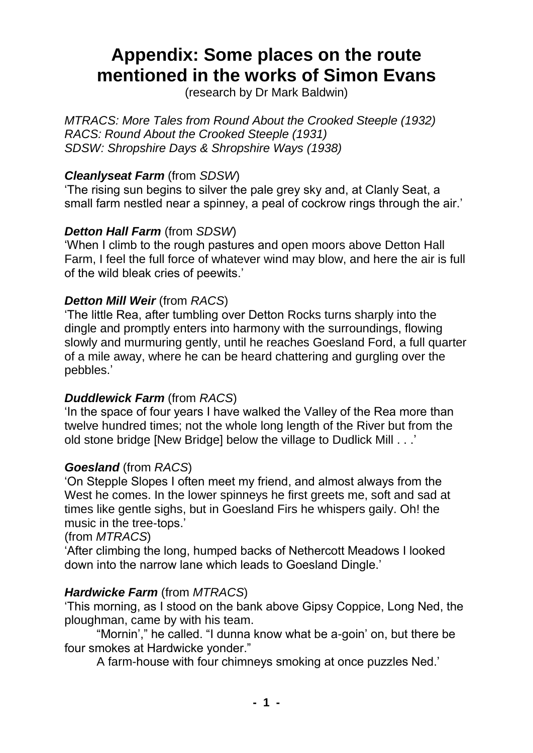# **Appendix: Some places on the route mentioned in the works of Simon Evans**

(research by Dr Mark Baldwin)

*MTRACS: More Tales from Round About the Crooked Steeple (1932) RACS: Round About the Crooked Steeple (1931) SDSW: Shropshire Days & Shropshire Ways (1938)*

# *Cleanlyseat Farm* (from *SDSW*)

'The rising sun begins to silver the pale grey sky and, at Clanly Seat, a small farm nestled near a spinney, a peal of cockrow rings through the air.'

# *Detton Hall Farm* (from *SDSW*)

'When I climb to the rough pastures and open moors above Detton Hall Farm, I feel the full force of whatever wind may blow, and here the air is full of the wild bleak cries of peewits.'

## *Detton Mill Weir* (from *RACS*)

'The little Rea, after tumbling over Detton Rocks turns sharply into the dingle and promptly enters into harmony with the surroundings, flowing slowly and murmuring gently, until he reaches Goesland Ford, a full quarter of a mile away, where he can be heard chattering and gurgling over the pebbles.'

## *Duddlewick Farm* (from *RACS*)

'In the space of four years I have walked the Valley of the Rea more than twelve hundred times; not the whole long length of the River but from the old stone bridge [New Bridge] below the village to Dudlick Mill . . .'

#### *Goesland* (from *RACS*)

'On Stepple Slopes I often meet my friend, and almost always from the West he comes. In the lower spinneys he first greets me, soft and sad at times like gentle sighs, but in Goesland Firs he whispers gaily. Oh! the music in the tree-tops.'

#### (from *MTRACS*)

'After climbing the long, humped backs of Nethercott Meadows I looked down into the narrow lane which leads to Goesland Dingle.'

## *Hardwicke Farm* (from *MTRACS*)

'This morning, as I stood on the bank above Gipsy Coppice, Long Ned, the ploughman, came by with his team.

"Mornin'," he called. "I dunna know what be a-goin' on, but there be four smokes at Hardwicke yonder."

A farm-house with four chimneys smoking at once puzzles Ned.'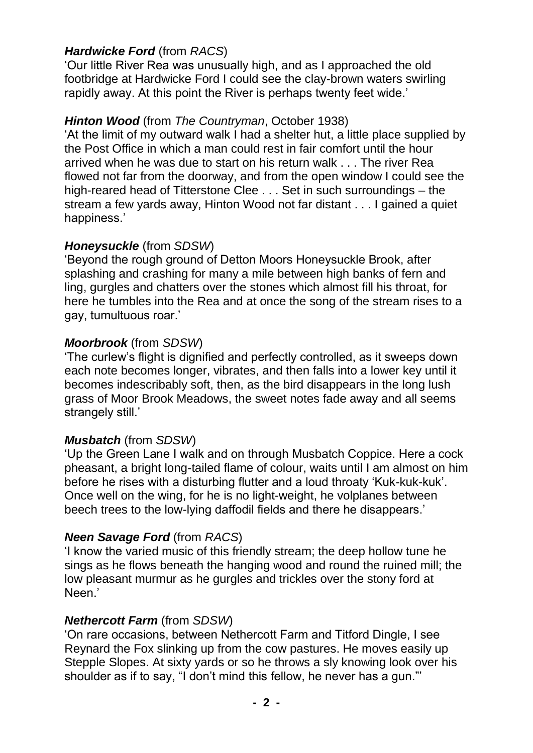# *Hardwicke Ford* (from *RACS*)

'Our little River Rea was unusually high, and as I approached the old footbridge at Hardwicke Ford I could see the clay-brown waters swirling rapidly away. At this point the River is perhaps twenty feet wide.'

# *Hinton Wood* (from *The Countryman*, October 1938)

'At the limit of my outward walk I had a shelter hut, a little place supplied by the Post Office in which a man could rest in fair comfort until the hour arrived when he was due to start on his return walk . . . The river Rea flowed not far from the doorway, and from the open window I could see the high-reared head of Titterstone Clee . . . Set in such surroundings – the stream a few yards away, Hinton Wood not far distant . . . I gained a quiet happiness.'

# *Honeysuckle* (from *SDSW*)

'Beyond the rough ground of Detton Moors Honeysuckle Brook, after splashing and crashing for many a mile between high banks of fern and ling, gurgles and chatters over the stones which almost fill his throat, for here he tumbles into the Rea and at once the song of the stream rises to a gay, tumultuous roar.'

# *Moorbrook* (from *SDSW*)

'The curlew's flight is dignified and perfectly controlled, as it sweeps down each note becomes longer, vibrates, and then falls into a lower key until it becomes indescribably soft, then, as the bird disappears in the long lush grass of Moor Brook Meadows, the sweet notes fade away and all seems strangely still.'

## *Musbatch* (from *SDSW*)

'Up the Green Lane I walk and on through Musbatch Coppice. Here a cock pheasant, a bright long-tailed flame of colour, waits until I am almost on him before he rises with a disturbing flutter and a loud throaty 'Kuk-kuk-kuk'. Once well on the wing, for he is no light-weight, he volplanes between beech trees to the low-lying daffodil fields and there he disappears.'

## *Neen Savage Ford* (from *RACS*)

'I know the varied music of this friendly stream; the deep hollow tune he sings as he flows beneath the hanging wood and round the ruined mill; the low pleasant murmur as he gurgles and trickles over the stony ford at Neen.'

# *Nethercott Farm* (from *SDSW*)

'On rare occasions, between Nethercott Farm and Titford Dingle, I see Reynard the Fox slinking up from the cow pastures. He moves easily up Stepple Slopes. At sixty yards or so he throws a sly knowing look over his shoulder as if to say, "I don't mind this fellow, he never has a gun."'